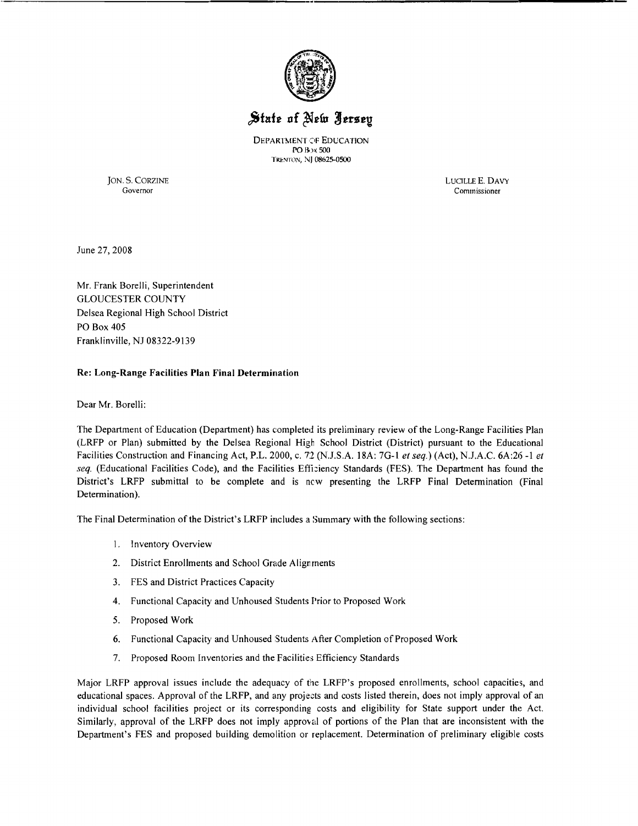

## State of New Jersey

DEPARTMENT OF EDUCATION PO B,)~ 500 TRENTON, NJ 08625-0500

JON. S. CORZINE LUCILLEE. DAVY Commissioner

June 27, 2008

Mr. Frank Borelli, Superintendent GLOUCESTER COUNTY Delsea Regional High School District PO Box 405 Franklinville, NJ 08322-9139

## Re: Long-Range Facilities **Plan** Final Determination

Dear Mr. Borelli:

The Department of Education (Department) has completed its preliminary review of the Long-Range Facilities Plan (LRFP or Plan) submitted by the Delsea Regional High School District (District) pursuant to the Educational Facilities Construction and Financing Act, P.L. 2000, c. 72 (N.J.SA 18A: 7G-I *et seq.)* (Act), N.lA.C. 6A:26 -I *et seq.* (Educational Facilities Code), and the Facilities Efficiency Standards (FES). The Department has found the District's LRFP submittal to be complete and is new presenting the LRFP Final Detennination (Final Determination).

The Final Determination of the District's LRFP includes a Summary with the following sections:

- I. Inventory Overview
- 2. District Enrollments and School Grade Alignments
- 3. FES and District Practices Capacity
- 4. Functional Capacity and Unhoused Students Prior to Proposed Work
- 5. Proposed Work
- 6. Functional Capacity and Unhoused Students After Completion of Proposed Work
- 7. Proposed Room Inventories and the Facilities Efficiency Standards

Major LRFP approval issues include the adequacy of the LRFP's proposed enrollments, school capacities, and educational spaces. Approval of the LRFP, and any projects and costs listed therein, does not imply approval of an individual school facilities project or its corresponding costs and eligibility for State support under the Act. Similarly, approval of the LRFP does not imply approval of portions of the Plan that are inconsistent with the Department's FES and proposed building demolition or replacement. Detennination of preliminary eligible costs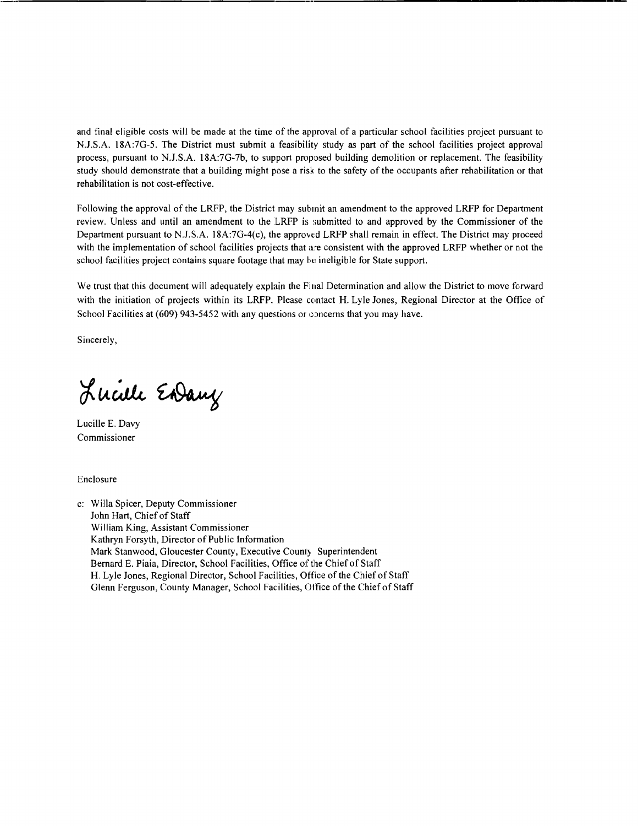and final eligible costs will be made at the time of the approval of a particular school facilities project pursuant to NJ.S.A. 18A:7G-5. The District must submit a feasibility study as part of the school facilities project approval process, pursuant to NJ.S.A. 18A:7G-7b, to support proposed building demolition or replacement. The feasibility study should demonstrate that a building might pose a risk to the safety of the occupants after rehabilitation or that rehabilitation is not cost-effective.

Following the approval of the LRFP, the District may submit an amendment to the approved LRFP for Department review. Unless and until an amendment to the LRFP is submitted to and approved by the Commissioner of the Department pursuant to N.J.S.A. 18A:7G-4 $(c)$ , the approved LRFP shall remain in effect. The District may proceed with the implementation of school facilities projects that are consistent with the approved LRFP whether or not the school facilities project contains square footage that may be ineligible for State support.

We trust that this document will adequately explain the Final Determination and allow the District to move forward with the initiation of projects within its LRFP. Please contact H. Lyle Jones, Regional Director at the Office of School Facilities at  $(609)$  943-5452 with any questions or concerns that you may have.

Sincerely,

Lucille Endany

Lucille E. Davy Commissioner

Enclosure

c: Willa Spicer, Deputy Commissioner John Hart, Chief of Staff William King, Assistant Commissioner Kathryn Forsyth, Director of Public Information Mark Stanwood, Gloucester County, Executive County, Superintendent Bernard E. Piaia, Director, School Facilities, Office of the Chiefof Staff H. Lyle Jones, Regional Director, School Facilities, Office of the Chief of Staff Glenn Ferguson, County Manager, School Facilities, Office of the Chief of Staff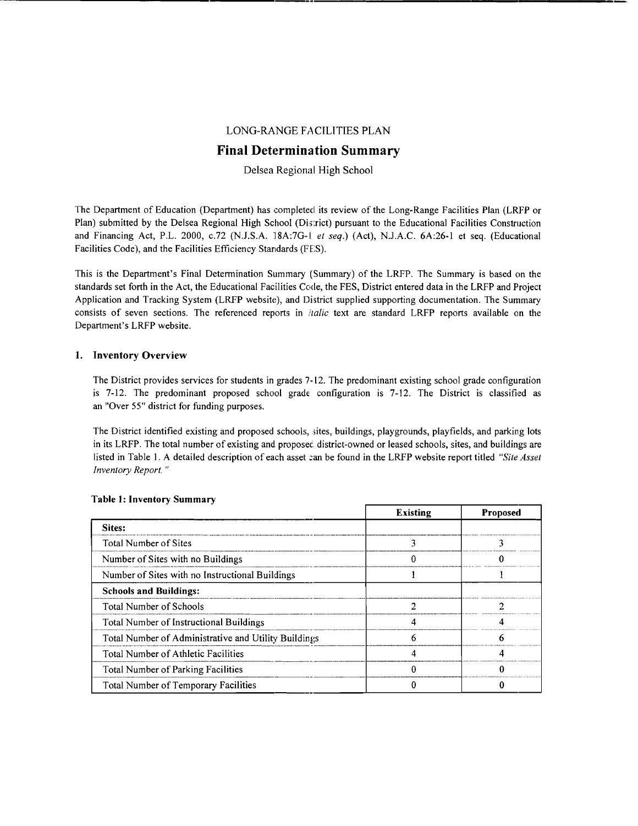## LONG-RANGE FACILITIES PLAN

## **Final Determination Summary**

Delsea Regional High School

The Department of Education (Department) has completed its review of the Long-Range Facilities Plan (LRFP or Plan) submitted by the Delsea Regional High School (District) pursuant to the Educational Facilities Construction and Financing Act, P.L. 2000, c.72 (N.J.S.A. 18A:7G-1 et seq.) (Act), N.J.A.C. 6A:26-1 et seq. (Educational Facilities Code), and the Facilities Efficiency Standards (FES).

This is the Department's Final Determination Summary (Summary) of the LRFP. The Summary is based on the standards set forth in the Act, the Educational Facilities Code, the FES, District entered data in the LRFP and Project Application and Tracking System (LRFP website), and District supplied supporting documentation. The Summary consists of seven sections. The referenced reports in *ilalic* text are standard LRFP reports available on the Department's LRFP website.

## 1. Inventory Overview

The District provides services for students in grades 7-12. The predominant existing school grade configuration is 7-12. The predominant proposed school grade configuration is 7-12. The District is classified as an "Over 55" district for funding purposes.

The District identified existing and proposed schools, sites, buildings, playgrounds, playfields, and parking lots in its LRFP. The total number of existing and proposec district-owned or leased schools, sites, and buildings are listed in Table 1. A detailed description of each asset can be found in the LRFP website report titled *"Site Asset Inventory Report. "* 

|                                                      | <b>Existing</b> | <b>Proposed</b> |
|------------------------------------------------------|-----------------|-----------------|
| Sites:                                               |                 |                 |
| <b>Total Number of Sites</b>                         |                 |                 |
| Number of Sites with no Buildings                    |                 |                 |
| Number of Sites with no Instructional Buildings      |                 |                 |
| <b>Schools and Buildings:</b>                        |                 |                 |
| Total Number of Schools                              |                 |                 |
| Total Number of Instructional Buildings              |                 |                 |
| Total Number of Administrative and Utility Buildings |                 |                 |
| Total Number of Athletic Facilities                  |                 |                 |
| <b>Total Number of Parking Facilities</b>            |                 |                 |
| Total Number of Temporary Facilities                 |                 |                 |

### Table I: Inventory Summary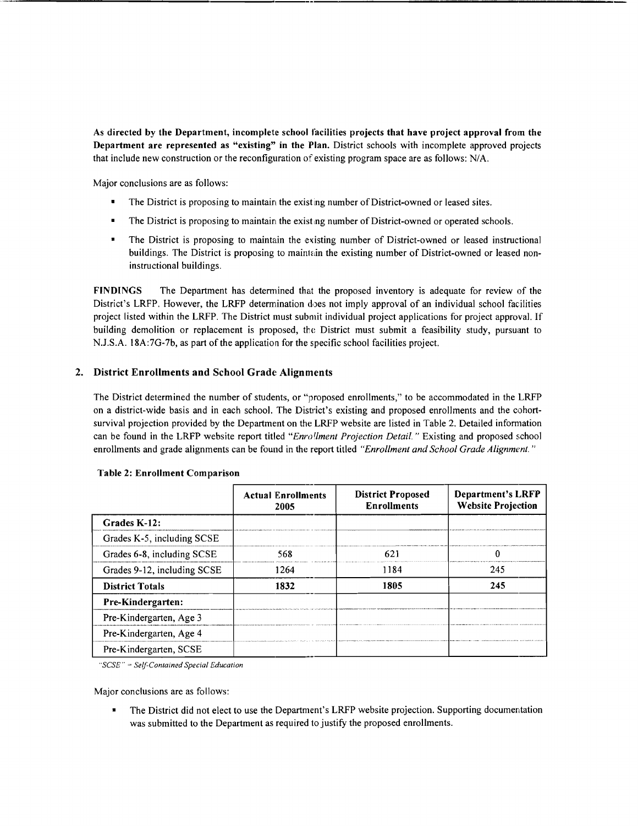As directed by the Department, incomplete school facilities projects that have project approval from the Department are represented as "existing" in the Plan. District schools with incomplete approved projects that include new construction or the reconfiguration of existing program space are as follows: NIA.

Major conclusions are as follows:

- The District is proposing to maintain the existing number of District-owned or leased sites.
- The District is proposing to maintain the existing number of District-owned or operated schools.
- The District is proposing to maintain the existing number of District-owned or leased instructional buildings. The District is proposing to maintain the existing number of District-owned or leased noninstructional buildings.

FINDINGS The Department has determined that the proposed inventory is adequate for review of the District's LRFP. However, the LRFP determination does not imply approval of an individual school facilities project listed within the LRFP. The District must submit individual project applications for project approval. If building demolition or replacement is proposed, the District must submit a feasibility study, pursuant to N.J.S.A. 18A:7G-7b, as part of the application for the specific school facilities project.

## 2. District Enrollments and School Grade Alignments

The District determined the number of students, or "proposed enrollments," to be accommodated in the LRFP on a district-wide basis and in each school. The District's existing and proposed enrollments and the cohortsurvival projection provided by the Department on the LRFP website are listed in Table 2. Detailed information can be found in the LRFP website report titled *"Enrol/ment Projection Detail.* " Existing and proposed school enrollments and grade alignments can be found in the report titled *"Enrollment and School Grade Alignment."* 

|                             | <b>Actual Enrollments</b><br>2005 | <b>District Proposed</b><br><b>Enrollments</b> | Department's LRFP<br><b>Website Projection</b> |
|-----------------------------|-----------------------------------|------------------------------------------------|------------------------------------------------|
| Grades K-12:                |                                   |                                                |                                                |
| Grades K-5, including SCSE  |                                   |                                                |                                                |
| Grades 6-8, including SCSE  | 568                               | 621                                            | O                                              |
| Grades 9-12, including SCSE | 1264                              | 1184                                           | 245                                            |
| <b>District Totals</b>      | 1832                              | 1805                                           | 245                                            |
| <b>Pre-Kindergarten:</b>    |                                   |                                                |                                                |
| Pre-Kindergarten, Age 3     |                                   |                                                |                                                |
| Pre-Kindergarten, Age 4     |                                   |                                                |                                                |
| Pre-Kindergarten, SCSE      |                                   |                                                |                                                |

### Table 2: Enrollment Comparison

*"SCSE" SellContained Special Education* 

Major conclusions are as follows:

• The District did not elect to use the Department's LRFP website projection. Supporting documentation was submitted to the Department as required to justify the proposed enrollments.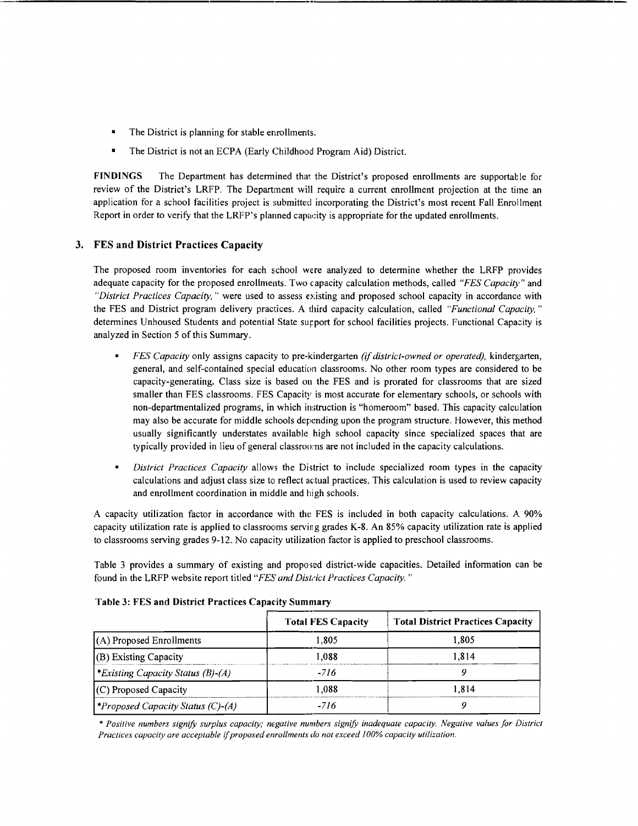- The District is planning for stable enrollments.
- The District is not an ECPA (Early Childhood Program Aid) District.

FINDINGS The Department has determined that the District's proposed enrollments are supportable for review of the District's LRFP. The Department will require a current enrollment projection at the time an application for a school facilities project is submitted incorporating the District's most recent Fall Enrollment Report in order to verify that the LRFP's planned capacity is appropriate for the updated enrollments.

## 3. FES and District Practices Capacity

The proposed room inventories for each school were analyzed to determine whether the LRFP provides adequate capacity for the proposed enrollments. Two capacity calculation methods, called *"FES Capacity"* and *"District Practices Capacity,"* were used to assess existing and proposed school capacity in accordance with the FES and District program delivery practices. A third capacity calculation, called *"Functional Capacity*," determines Unhoused Students and potential State surport for school facilities projects. Functional Capacity is analyzed in Section 5 of this Summary.

- *FES Capacity* only assigns capacity to pre-kindergarten *(if district-owned or operated),* kindergarten, general, and self-contained special education classrooms. No other room types are considered to be capacity-generating. Class size is based on the FES and is prorated for classrooms that are sized smaller than FES classrooms. FES Capacity is most accurate for elementary schools, or schools with non-departmentalized programs, in which instruction is "homeroom" based. This capacity calculation may also be accurate for middle schools depending upon the program structure. However, this method usually significantly understates available high school capacity since specialized spaces that are typically provided in lieu of general classrooms are not included in the capacity calculations.
- $\blacksquare$ *District Practices Capacity* allows the District to include specialized room types in the capacity calculations and adjust class size to reflect actual practices. This calculation is used to review capacity and enrollment coordination in middle and high schools.

A capacity utilization factor in accordance with the FES is included in both capacity calculations. A 90% capacity utilization rate is applied to classrooms serving grades K-8. An 85% capacity utilization rate is applied to classrooms serving grades 9-12. No capacity utilization factor is applied to preschool classrooms.

Table 3 provides a summary of existing and proposed district-wide capacities. Detailed information can be found in the LRFP website report titled "FES and District Practices Capacity."

|                                            | <b>Total FES Capacity</b> | <b>Total District Practices Capacity</b> |
|--------------------------------------------|---------------------------|------------------------------------------|
| $(A)$ Proposed Enrollments                 | 1.805                     | 1.805                                    |
| $(B)$ Existing Capacity                    | 1.088                     | 1.814                                    |
| *Existing Capacity Status (B)-(A)          | -716                      |                                          |
| $(C)$ Proposed Capacity                    | 1.088                     | 1.814                                    |
| <i>\</i> *Proposed Capacity Status (C)-(A) | -716                      |                                          |

# Table 3: FES and District Practices Capacity Summary

\* *Positive numbers signifY surplus capacity; negative numbers signifY inadequate capacity. Negative values for Distriel Practices capacity are acceptable if proposed enrollments do not exceed 100% capacity utilization.*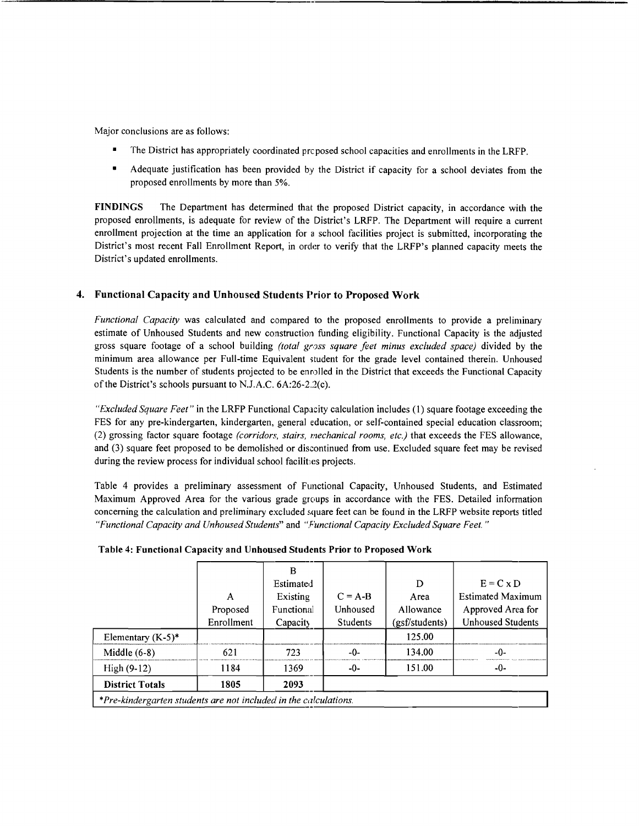Major conclusions are as follows:

- The District has appropriately coordinated preposed school capacities and enrollments in the LRFP.
- Adequate justification has been provided by the District if capacity for a school deviates from the proposed enrollments by more than 5%.

FINDINGS The Department has determined that the proposed District capacity, in accordance with the proposed enrollments, is adequate for review of the District's LRFP. The Department will require a current enrollment projection at the time an application for a school facilities project is submitted, incorporating the District's most recent Fall Enrollment Report, in order to verify that the LRFP's planned capacity meets the District's updated enrollments.

## 4. Functional Capacity and Unhoused Students Prior to Proposed Work

*Functional Capacity* was calculated and compared to the proposed enrollments to provide a preliminary estimate of Unhoused Students and new construction funding eligibility. Functional Capacity is the adjusted gross square footage of a school building *(total gross square feet minus excluded space)* divided by the minimum area allowance per Full-time Equivalent student for the grade level contained therein. Unhoused Students is the number of students projected to be enrolled in the District that exceeds the Functional Capacity of the District's schools pursuant to N.J.A.C.  $6A:26-2.2(c)$ .

*"Excluded Square Feet"* in the LRFP Functional Capacity calculation includes (I) square footage exceeding the FES for any pre-kindergarten, kindergarten, general education, or self-contained special education classroom; (2) grossing factor square footage *(corridors, stairs, mechanical rooms, etc.)* that exceeds the FES allowance, and (3) square feet proposed to be demolished or discontinued from use. Excluded square feet may be revised during the review process for individual school facilities projects.

Table 4 provides a preliminary assessment of Functional Capacity, Unhoused Students, and Estimated Maximum Approved Area for the various grade groups in accordance with the FES. Detailed information concerning the calculation and preliminary excluded square feet can be found in the LRFP website reports titled *"Functional Capacity and Unhoused Students"* and *"Functional Capacity Excluded Square Feet. "* 

|                                                                  |            | в               |                 |                |                          |
|------------------------------------------------------------------|------------|-----------------|-----------------|----------------|--------------------------|
|                                                                  |            | Estimated       |                 | D              | $E = C \times D$         |
|                                                                  | A          | Existing        | $C = A-B$       | Area           | <b>Estimated Maximum</b> |
|                                                                  | Proposed   | Functional      | Unhoused        | Allowance      | Approved Area for        |
|                                                                  | Enrollment | <b>Capacity</b> | <b>Students</b> | (gsf/students) | <b>Unhoused Students</b> |
| Elementary $(K-5)^*$                                             |            |                 |                 | 125.00         |                          |
| Middle $(6-8)$                                                   | 621        | 723             | -0-             | 134.00         | -0-                      |
| High $(9-12)$                                                    | 1184       | 1369            | $-0-$           | 151.00         | -0-                      |
| <b>District Totals</b>                                           | 1805       | 2093            |                 |                |                          |
| *Pre-kindergarten students are not included in the calculations. |            |                 |                 |                |                          |

### Table 4: Functional Capacity and Unhoused Students Prior to Proposed Work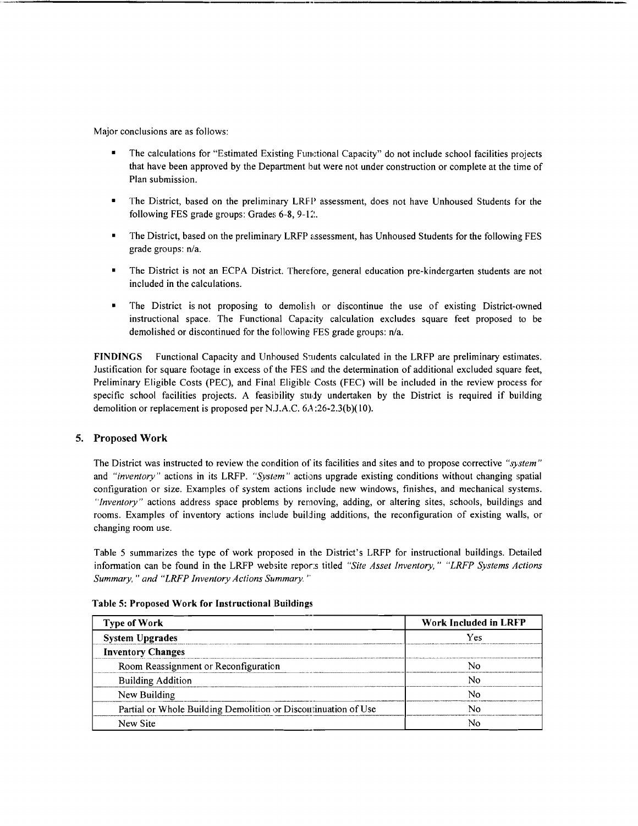Major conclusions are as follows:

- The calculations for "Estimated Existing Functional Capacity" do not include school facilities projects that have been approved by the Department but were not under construction or complete at the time of Plan submission.
- The District, based on the preliminary LRFP assessment, does not have Unhoused Students for the following FES grade groups: Grades  $6-8$ ,  $9-12$ .
- The District, based on the preliminary LRFP assessment, has Unhoused Students for the following FES grade groups: *n/a.*
- The District is not an ECPA District. Therefore, general education pre-kindergarten students are not included in the calculations.
- The District is not proposing to demolish or discontinue the use of existing District-owned instructional space. The Functional Capacity calculation excludes square feet proposed to be demolished or discontinued for the following FES grade groups: n/a.

FINDINGS Functional Capacity and Unhoused Students calculated in the LRFP are preliminary estimates. Justification for square footage in excess of the FES and the determination of additional excluded square feet, Preliminary Eligible Costs (PEC), and Final Eligible Costs (FEC) will be included in the review process for specific school facilities projects. A feasibility study undertaken by the District is required if building demolition or replacement is proposed per N.J.A.C.  $6A$ : 26-2.3(b)(10).

### 5. Proposed Work

The District was instructed to review the condition of its facilities and sites and to propose corrective *"system"*  and *"inventory"* actions in its LRFP. *"System"* actions upgrade existing conditions without changing spatial configuration or size. Examples of system actions include new windows, finishes, and mechanical systems. *"Inventory"* actions address space problems by removing, adding, or altering sites, schools, buildings and rooms. Examples of inventory actions include building additions, the reconfiguration of existing walls, or changing room use.

Table 5 summarizes the type of work proposed in the District's LRFP for instructional buildings. Detailed infonnation can be found in the LRFP website repor:s titled *"Site Asset Inventory," "LRFP Systems Actions Summary," and "LRFP Inventory Actions Summary."* 

| <b>Type of Work</b>                                            | <b>Work Included in LRFP</b><br>Yes |  |
|----------------------------------------------------------------|-------------------------------------|--|
| <b>System Upgrades</b>                                         |                                     |  |
| <b>Inventory Changes</b>                                       |                                     |  |
| Room Reassignment or Reconfiguration                           | No                                  |  |
| <b>Building Addition</b>                                       | No                                  |  |
| New Building                                                   | N٥                                  |  |
| Partial or Whole Building Demolition or Discontinuation of Use | Nο                                  |  |
| New Site                                                       |                                     |  |

Table 5: Proposed Work for Instructional Buildings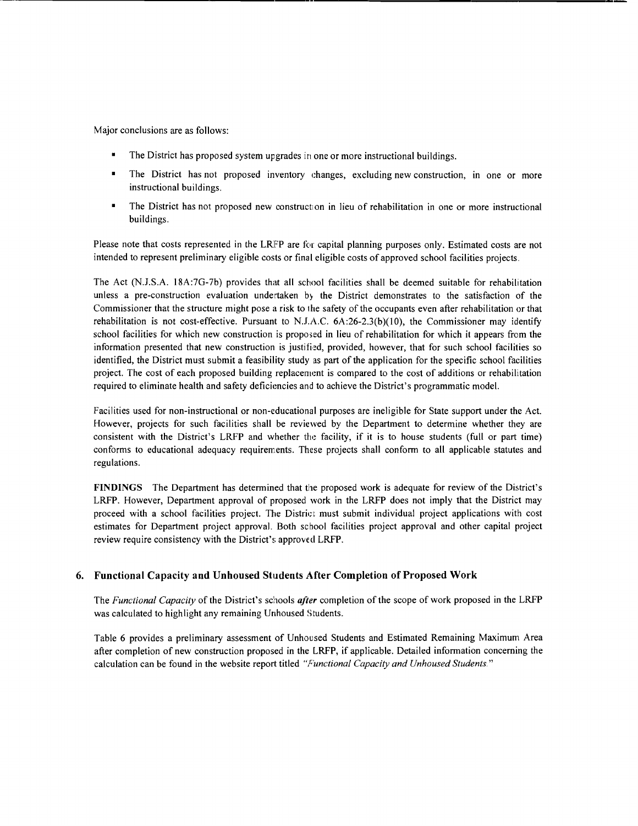Major conclusions are as follows:

- The District has proposed system upgrades in one or more instructional buildings.
- The District has not proposed inventory changes, excluding new construction, in one or more instructional buildings.
- The District has not proposed new construction in lieu of rehabilitation in one or more instructional buildings.

Please note that costs represented in the LRFP are for capital planning purposes only. Estimated costs are not intended to represent preliminary eligible costs or final eligible costs of approved school facilities projects.

The Act (N.J.S.A. 18A:7G-7b) provides that all school facilities shall be deemed suitable for rehabilitation unless a pre-construction evaluation undertaken by the District demonstrates to the satisfaction of the Commissioner that the structure might pose a risk to the safety of the occupants even after rehabilitation or that rehabilitation is not cost-effective. Pursuant to N.J.A.C.  $6A:26-2.3(b)(10)$ , the Commissioner may identify school facilities for which new construction is proposed in lieu of rehabilitation for which it appears from the information presented that new construction is justified, provided, however, that for such school facilities so identified, the District must submit a feasibility study as part of the application for the specific school facilities project. The cost of each proposed building replacement is compared to the cost of additions or rehabilitation required to eliminate health and safety deficiencies and to achieve the District's programmatic model.

Facilities used for non-instructional or non-educational purposes are ineligible for State support under the Act. However, projects for such facilities shall be reviewed by the Department to determine whether they are consistent with the District's LRFP and whether the facility, if it is to house students (full or part time) conforms to educational adequacy requirements. These projects shall conform to all applicable statutes and regulations.

**FINDINGS** The Department has determined that the proposed work is adequate for review of the District's LRFP. However, Department approval of proposed work in the LRFP does not imply that the District may proceed with a school facilities project. The District must submit individual project applications with cost estimates for Department project approval. Both school facilities project approval and other capital project review require consistency with the District's approved LRFP.

## 6. **Functional Capacity and Unhoused Students After Completion** of Proposed **Work**

The *Functional Capacity* of the District's schools *after* completion of the scope of work proposed in the LRFP was calculated to highlight any remaining Unhoused Students.

Table 6 provides a preliminary assessment of Unhoused Students and Estimated Remaining Maximum Area after completion of new construction proposed in the LRFP, if applicable. Detailed infonnation concerning the calculation can be found in the website report titled *"F'unctional Capacity and Unhoused Students."*